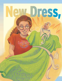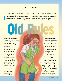## BY LINDA G. PAULSEN (Based on a true story)

*By the power of the Holy Ghost ye may know the truth of all things* (Moroni 10:5).

looked down at my lap. No matter how I tugged at my skirt, it didn't cover my knees. It just wasn't fair! I almost never got a store-bought dress. It was a

to be as skinny as a pencil, and have a huge mouth full of oversized teeth. Beverly had long blonde hair, long eyelashes, and no glasses, either. Next to Beverly, I felt ugly and awkward. One way to make up the difference was with fashionable clothes.

summery green fabric, and when I wore it my eyes looked more green than their normal gray-blue. It fit perfectly too. And it was modern, without being weird.

U

Beverly had a new outfit that made my eyes blink. It was an orange and purple skirt and top with matching tights in a big, wild, diamond pattern. Beverly always wore the latest styles. When I'd worn my new green dress the week before, she had complimented me for the first time.

It was hard to be me. It was bad enough to wear glasses as thick as a sugar bowl,

Finding that green dress was amazing. Buying it had been a miracle. Mom had taken down the hem, and it was perfect. Now, one laundry day later, my chance to be noticed was over.

My mother came into the room. "What's the matter?" she asked. I guess my tear-misted glasses gave me away.

"Look at this dress!" I wailed. "It shrank in the wash!" Mom understood how much that dress meant to me. "Oh, Linda," she said softly. "I promise I followed the washing directions on the tag." But she could see as I did that it had shrunk just enough to be too short. We talked it over, but there wasn't a happy solution. The hem had already been